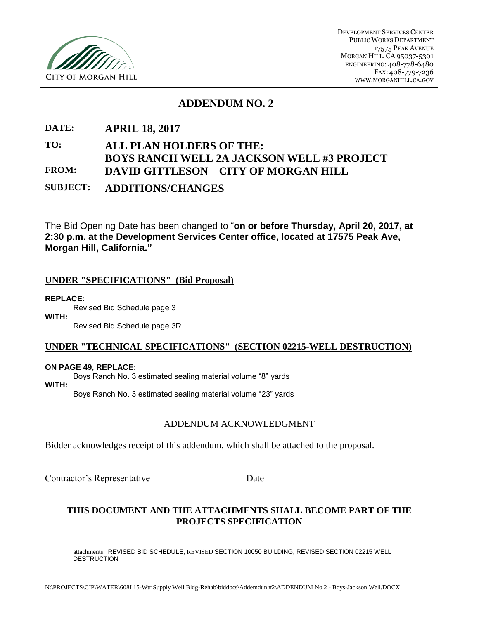

# **ADDENDUM NO. 2**

# **DATE: APRIL 18, 2017**

# **TO: ALL PLAN HOLDERS OF THE: BOYS RANCH WELL 2A JACKSON WELL #3 PROJECT FROM: DAVID GITTLESON – CITY OF MORGAN HILL SUBJECT: ADDITIONS/CHANGES**

The Bid Opening Date has been changed to "**on or before Thursday, April 20, 2017, at 2:30 p.m. at the Development Services Center office, located at 17575 Peak Ave, Morgan Hill, California."**

### **UNDER "SPECIFICATIONS" (Bid Proposal)**

#### **REPLACE:**

Revised Bid Schedule page 3

**WITH:**

Revised Bid Schedule page 3R

### **UNDER "TECHNICAL SPECIFICATIONS" (SECTION 02215-WELL DESTRUCTION)**

#### **ON PAGE 49, REPLACE:**

Boys Ranch No. 3 estimated sealing material volume "8" yards

**WITH:**

Boys Ranch No. 3 estimated sealing material volume "23" yards

### ADDENDUM ACKNOWLEDGMENT

Bidder acknowledges receipt of this addendum, which shall be attached to the proposal.

Contractor's Representative Date

### **THIS DOCUMENT AND THE ATTACHMENTS SHALL BECOME PART OF THE PROJECTS SPECIFICATION**

attachments: REVISED BID SCHEDULE, REVISED SECTION 10050 BUILDING, REVISED SECTION 02215 WELL DESTRUCTION